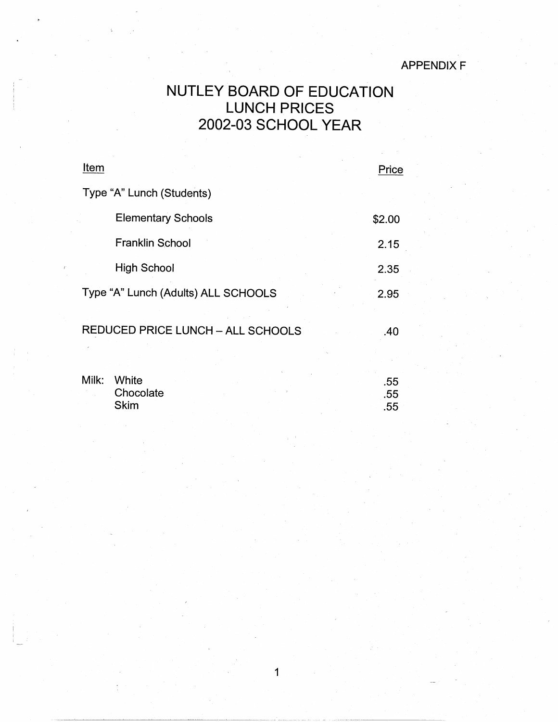## APPENDIX F

## NUTLEY BOARD OF EDUCATION LUNCH PRICES 2002-03 SCHOOL YEAR

| Item                                     | Price             |
|------------------------------------------|-------------------|
| Type "A" Lunch (Students)                |                   |
| <b>Elementary Schools</b>                | \$2.00            |
| <b>Franklin School</b>                   | 2.15              |
| <b>High School</b>                       | 2.35              |
| Type "A" Lunch (Adults) ALL SCHOOLS      | 2.95              |
| <b>REDUCED PRICE LUNCH - ALL SCHOOLS</b> | .40               |
| Milk:<br>White<br>Chocolate<br>Skim      | .55<br>.55<br>.55 |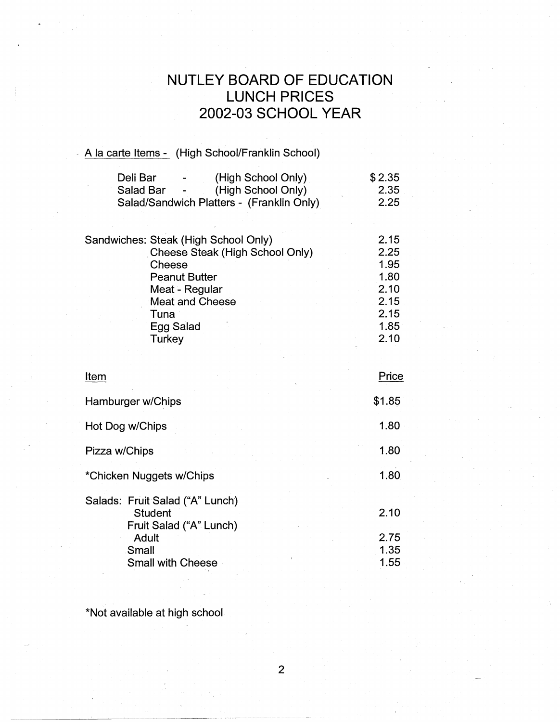## **NUTLEY BOARD OF EDUCATION LUNCH PRICES 2002-03 SCHOOL YEAR**

## A la carte Items - (High School/Franklin School)

| Deli Bar  | $\blacksquare$   | (High School Only)                        | \$2.35 |
|-----------|------------------|-------------------------------------------|--------|
| Salad Bar | $\sim$ 100 $\mu$ | (High School Only)                        | 2.35   |
|           |                  | Salad/Sandwich Platters - (Franklin Only) | 2.25   |

|  | Sandwiches: Steak (High School Only) | 2.15 |
|--|--------------------------------------|------|
|  | Cheese Steak (High School Only)      | 2.25 |
|  | Cheese                               | 1.95 |
|  | <b>Peanut Butter</b>                 | 1.80 |
|  | Meat - Regular                       | 2.10 |
|  | <b>Meat and Cheese</b>               | 2.15 |
|  | Tuna                                 | 2.15 |
|  | Egg Salad                            | 1.85 |
|  | Turkey                               | 2.10 |

| Item                                                                         | Price                |
|------------------------------------------------------------------------------|----------------------|
| Hamburger w/Chips                                                            | \$1.85               |
| Hot Dog w/Chips                                                              | 1.80                 |
| Pizza w/Chips                                                                | 1.80                 |
| *Chicken Nuggets w/Chips                                                     | 1.80                 |
| Salads: Fruit Salad ("A" Lunch)<br><b>Student</b><br>Fruit Salad ("A" Lunch) | 2.10                 |
| Adult<br>Small<br><b>Small with Cheese</b>                                   | 2.75<br>1.35<br>1.55 |

\*Not available at high school

-----~-----'--- . -------·-~~--~-

2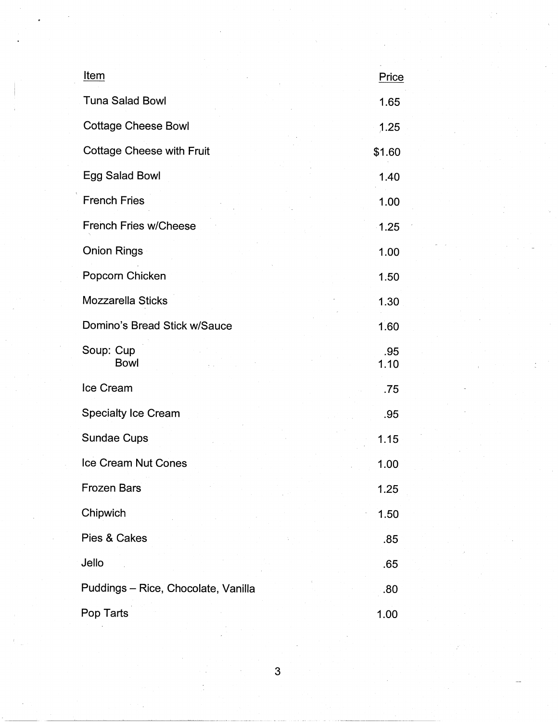| Item                                | Price       |
|-------------------------------------|-------------|
| <b>Tuna Salad Bowl</b>              | 1.65        |
| <b>Cottage Cheese Bowl</b>          | 1.25        |
| <b>Cottage Cheese with Fruit</b>    | \$1.60      |
| Egg Salad Bowl                      | 1.40        |
| <b>French Fries</b>                 | 1.00        |
| <b>French Fries w/Cheese</b>        | 1.25        |
| <b>Onion Rings</b>                  | 1.00        |
| Popcorn Chicken                     | 1.50        |
| Mozzarella Sticks                   | 1.30        |
| Domino's Bread Stick w/Sauce        | 1.60        |
| Soup: Cup<br><b>Bowl</b>            | .95<br>1.10 |
| Ice Cream                           | .75         |
| <b>Specialty Ice Cream</b>          | .95         |
| <b>Sundae Cups</b>                  | 1.15        |
| Ice Cream Nut Cones                 | 1.00        |
| <b>Frozen Bars</b>                  | 1.25        |
| Chipwich                            | 1.50        |
| Pies & Cakes                        | .85         |
| Jello                               | .65         |
| Puddings - Rice, Chocolate, Vanilla | .80         |
| Pop Tarts                           | 1.00        |

3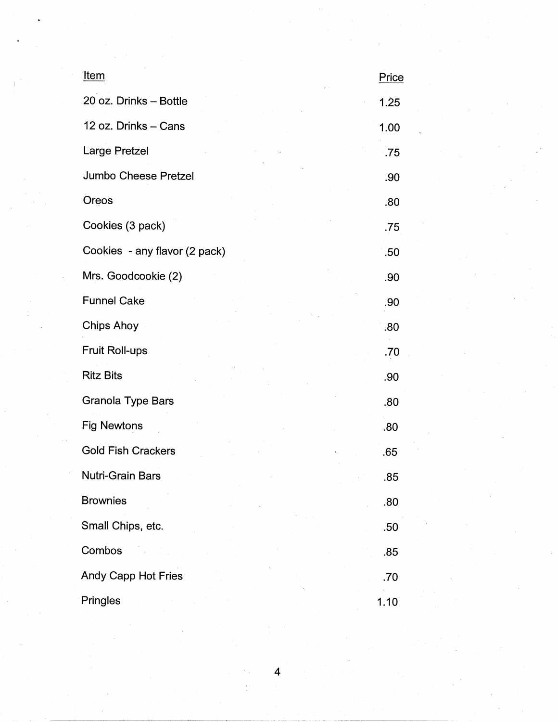| <u>Item</u>                   | Price |
|-------------------------------|-------|
| 20 oz. Drinks - Bottle        | 1.25  |
| 12 oz. Drinks - Cans          | 1.00  |
| <b>Large Pretzel</b>          | .75   |
| Jumbo Cheese Pretzel          | .90   |
| Oreos                         | .80   |
| Cookies (3 pack)              | .75   |
| Cookies - any flavor (2 pack) | .50   |
| Mrs. Goodcookie (2)           | .90   |
| <b>Funnel Cake</b>            | .90   |
| <b>Chips Ahoy</b>             | .80   |
| <b>Fruit Roll-ups</b>         | .70   |
| <b>Ritz Bits</b>              | .90   |
| <b>Granola Type Bars</b>      | .80   |
| <b>Fig Newtons</b>            | .80   |
| <b>Gold Fish Crackers</b>     | .65   |
| Nutri-Grain Bars              | .85   |
| <b>Brownies</b>               | .80   |
| Small Chips, etc.             | .50   |
| Combos                        | .85   |
| <b>Andy Capp Hot Fries</b>    | .70   |
| Pringles                      | 1.10  |

4

i<br>A